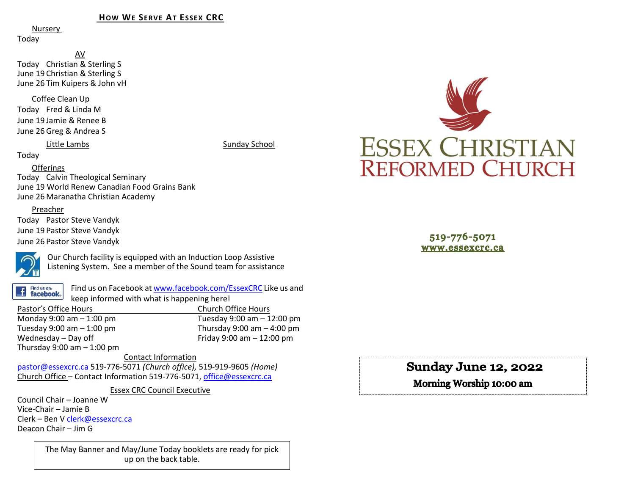#### **HOW WE SERVE AT ESSEX CRC**

Nursery

Today

AV Today Christian & Sterling S June 19 Christian & Sterling S June 26 Tim Kuipers & John vH

Coffee Clean Up

Today Fred & Linda M June 19 Jamie & Renee B June 26 Greg & Andrea S

Little Lambs Sunday School

#### Today

#### **Offerings**

Today Calvin Theological Seminary June 19 World Renew Canadian Food Grains Bank June 26 Maranatha Christian Academy

#### Preacher

Today Pastor Steve Vandyk June 19 Pastor Steve Vandyk June 26 Pastor Steve Vandyk



Our Church facility is equipped with an Induction Loop Assistive Listening System. See a member of the Sound team for assistance

Find us on: **facebook**. Find us on Facebook a[t www.facebook.com/EssexCRC](http://www.facebook.com/EssexCRC) Like us and keep informed with what is happening here!

Pastor's Office Hours Church Office Hours Monday 9:00 am – 1:00 pm Tuesday 9:00 am – 12:00 pm Thursday 9:00 am  $-$  4:00 pm Wednesday – Day off  $V = 12:00 \text{ pm}$ Thursday  $9:00$  am  $-1:00$  pm

Contact Information [pastor@essexcrc.ca](mailto:pastor@essexcrc.ca) 519-776-5071 *(Church office),* 519-919-9605 *(Home)* Church Office – Contact Information 519-776-5071[, office@essexcrc.ca](mailto:office@essexcrc.ca)

Essex CRC Council Executive

Council Chair – Joanne W Vice-Chair – Jamie B Clerk – Ben V [clerk@essexcrc.ca](mailto:clerk@essexcrc.ca) Deacon Chair – Jim G

> The May Banner and May/June Today booklets are ready for pick up on the back table.



519-776-5071 www.essexcrc.ca

# Sunday June 12, 2022

Morning Worship 10:00 am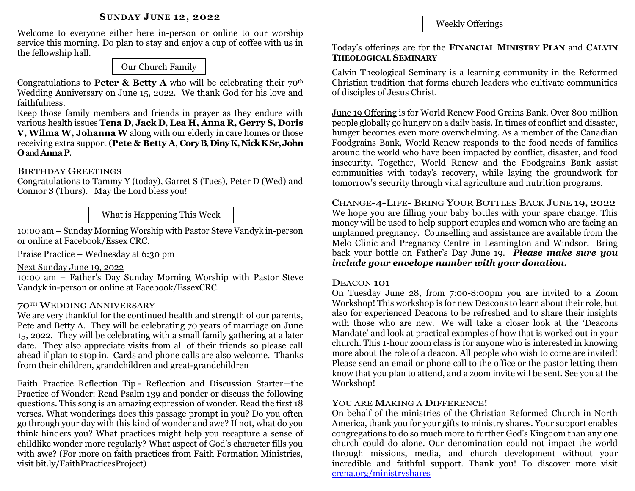Welcome to everyone either here in-person or online to our worship service this morning. Do plan to stay and enjoy a cup of coffee with us in the fellowship hall.

# Our Church Family

Congratulations to **Peter & Betty A** who will be celebrating their  $70^{\text{th}}$ Wedding Anniversary on June 15, 2022. We thank God for his love and faithfulness.

Keep those family members and friends in prayer as they endure with various health issues **Tena D**, **Jack D**, **Lea H, Anna R, Gerry S, Doris V, Wilma W, Johanna W** along with our elderly in care homes or those receiving extra support (**Pete & Betty A**, **CoryB**, **DinyK, Nick K Sr,John O**and **AnnaP**.

# BIRTHDAY GREETINGS

Congratulations to Tammy Y (today), Garret S (Tues), Peter D (Wed) and Connor S (Thurs). May the Lord bless you!

What is Happening This Week

10:00 am – Sunday Morning Worship with Pastor Steve Vandyk in-person or online at Facebook/Essex CRC.

Praise Practice – Wednesday at 6:30 pm

# Next Sunday June 19, 2022

10:00 am – Father's Day Sunday Morning Worship with Pastor Steve Vandyk in-person or online at Facebook/EssexCRC.

# 70TH WEDDING ANNIVERSARY

We are very thankful for the continued health and strength of our parents, Pete and Betty A. They will be celebrating 70 years of marriage on June 15, 2022. They will be celebrating with a small family gathering at a later date. They also appreciate visits from all of their friends so please call ahead if plan to stop in. Cards and phone calls are also welcome. Thanks from their children, grandchildren and great-grandchildren

Faith Practice Reflection Tip - Reflection and Discussion Starter—the Practice of Wonder: Read Psalm 139 and ponder or discuss the following questions. This song is an amazing expression of wonder. Read the first 18 verses. What wonderings does this passage prompt in you? Do you often go through your day with this kind of wonder and awe? If not, what do you think hinders you? What practices might help you recapture a sense of childlike wonder more regularly? What aspect of God's character fills you with awe? (For more on faith practices from Faith Formation Ministries, visit bit.ly/FaithPracticesProject)

Weekly Offerings

### Today's offerings are for the **FINANCIAL MINISTRY PLAN** and **CALVIN THEOLOGICAL SEMINARY**

Calvin Theological Seminary is a learning community in the Reformed Christian tradition that forms church leaders who cultivate communities of disciples of Jesus Christ.

June 19 Offering is for World Renew Food Grains Bank. Over 800 million people globally go hungry on a daily basis. In times of conflict and disaster, hunger becomes even more overwhelming. As a member of the Canadian Foodgrains Bank, World Renew responds to the food needs of families around the world who have been impacted by conflict, disaster, and food insecurity. Together, World Renew and the Foodgrains Bank assist communities with today's recovery, while laying the groundwork for tomorrow's security through vital agriculture and nutrition programs.

CHANGE-4-LIFE- BRING YOUR BOTTLES BACK JUNE 19, 2022 We hope you are filling your baby bottles with your spare change. This money will be used to help support couples and women who are facing an unplanned pregnancy. Counselling and assistance are available from the Melo Clinic and Pregnancy Centre in Leamington and Windsor. Bring back your bottle on Father's Day June 19. *Please make sure you include your envelope number with your donation.*

# DEACON 101

On Tuesday June 28, from 7:00-8:00pm you are invited to a Zoom Workshop! This workshop is for new Deacons to learn about their role, but also for experienced Deacons to be refreshed and to share their insights with those who are new. We will take a closer look at the 'Deacons Mandate' and look at practical examples of how that is worked out in your church. This 1-hour zoom class is for anyone who is interested in knowing more about the role of a deacon. All people who wish to come are invited! Please send an email or phone call to the office or the pastor letting them know that you plan to attend, and a zoom invite will be sent. See you at the Workshop!

# YOU ARE MAKING A DIFFERENCE!

On behalf of the ministries of the Christian Reformed Church in North America, thank you for your gifts to ministry shares. Your support enables congregations to do so much more to further God's Kingdom than any one church could do alone. Our denomination could not impact the world through missions, media, and church development without your incredible and faithful support. Thank you! To discover more visit [crcna.org/ministryshares](https://www.crcna.org/MinistryShares)